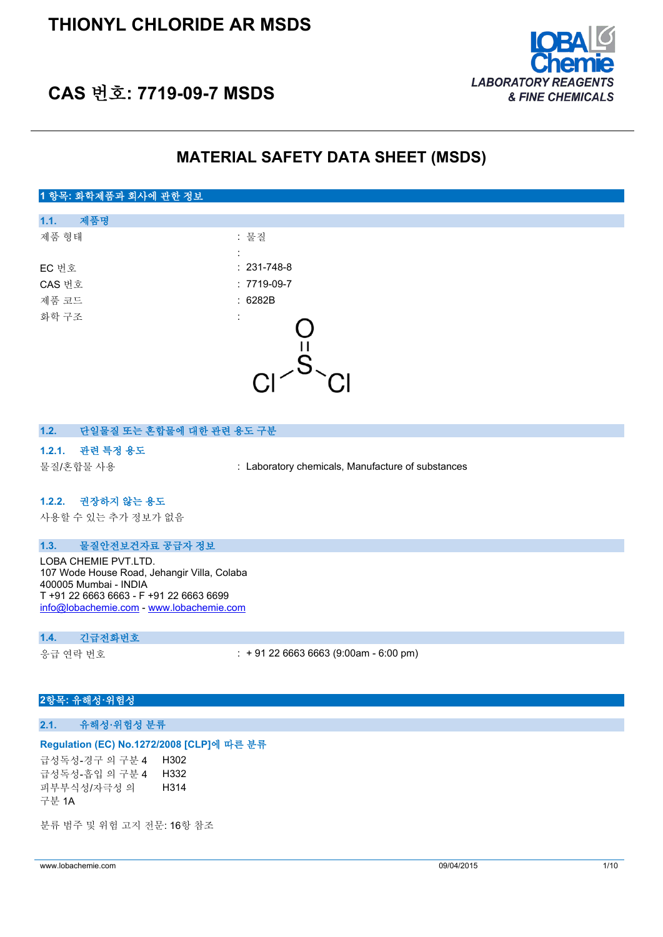

## **CAS 번호: 7719-09-7 MSDS**

### **MATERIAL SAFETY DATA SHEET (MSDS)**

#### **1 항목: 화학제품과 회사에 관한 정보**

| 제품명<br>1.1. |                   |  |
|-------------|-------------------|--|
| 제품 형태       | : 물질              |  |
|             | ÷                 |  |
| EC 번호       | $: 231 - 748 - 8$ |  |
| CAS 번호      | $: 7719-09-7$     |  |
| 제품 코드       | :6282B            |  |
| 화학 구조       | ÷                 |  |
|             |                   |  |
|             |                   |  |
|             |                   |  |
|             |                   |  |

#### **1.2. 단일물질 또는 혼합물에 대한 관련 용도 구분**

#### **1.2.1. 관련 특정 용도**

물질/혼합물 사용 : Laboratory chemicals, Manufacture of substances

#### **1.2.2. 권장하지 않는 용도**

사용할 수 있는 추가 정보가 없음

#### **1.3. 물질안전보건자료 공급자 정보**

LOBA CHEMIE PVT.LTD. 107 Wode House Road, Jehangir Villa, Colaba 400005 Mumbai - INDIA T +91 22 6663 6663 - F +91 22 6663 6699 [info@lobachemie.com](mailto:info@lobachemie.com) - <www.lobachemie.com>

#### **1.4. 긴급전화번호**

응급 연락 번호 : + 91 22 6663 6663 (9:00am - 6:00 pm)

#### **2항목: 유해성·위험성**

#### **2.1. 유해성·위험성 분류**

#### **Regulation (EC) No.1272/2008 [CLP]에 따른 분류**

급성독성-경구 의 구분 4 H302 급성독성-흡입 의 구분 4 H332 피부부식성/자극성 의 구분 1A H314

분류 범주 및 위험 고지 전문: 16항 참조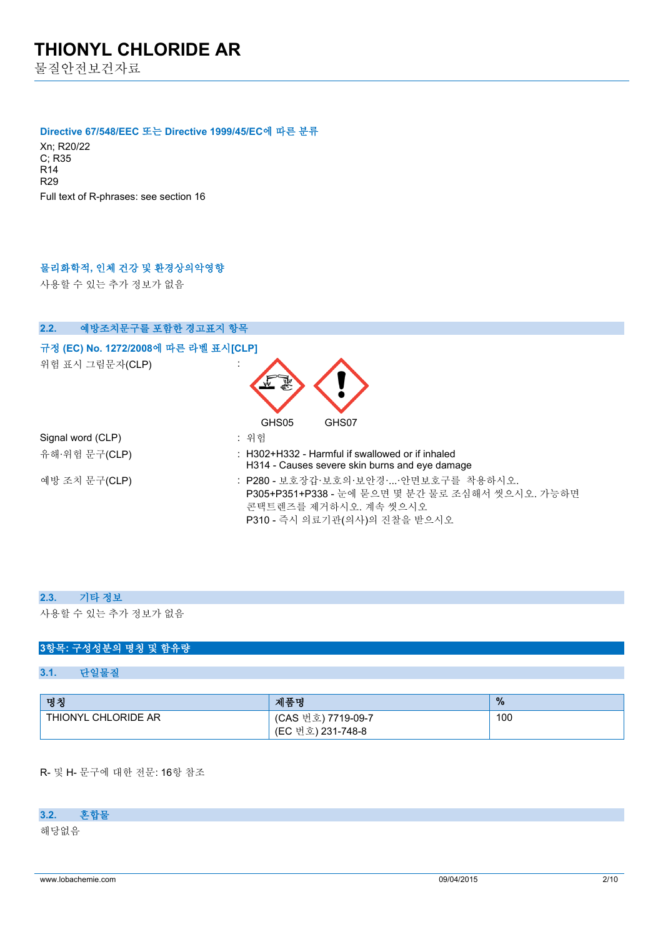물질안전보건자료

#### **Directive 67/548/EEC 또는 Directive 1999/45/EC에 따른 분류**

Xn; R20/22 C; R35 R14 R29 Full text of R-phrases: see section 16

### **물리화학적, 인체 건강 및 환경상의악영향**

사용할 수 있는 추가 정보가 없음

| 예방조치문구를 포함한 경고표지 항목<br>2.2.          |                                                                                                                                                 |
|--------------------------------------|-------------------------------------------------------------------------------------------------------------------------------------------------|
| 규정 (EC) No. 1272/2008에 따른 라벨 표시[CLP] |                                                                                                                                                 |
| 위험 표시 그림문자(CLP)                      |                                                                                                                                                 |
|                                      | GHS05<br>GHS07                                                                                                                                  |
| Signal word (CLP)                    | : 위험                                                                                                                                            |
| 유해·위험 문구(CLP)                        | $\pm$ H302+H332 - Harmful if swallowed or if inhaled<br>H314 - Causes severe skin burns and eye damage                                          |
| 예방 조치 문구(CLP)                        | : P280 - 보호장갑·보호의·보안경·안면보호구를 착용하시오.<br>P305+P351+P338 - 눈에 묻으면 몇 분간 물로 조심해서 씻으시오. 가능하면<br>콘택트렌즈를 제거하시오. 계속 씻으시오<br>P310 - 즉시 의료기관(의사)의 진찰을 받으시오 |

#### **2.3. 기타 정보**

사용할 수 있는 추가 정보가 없음

#### **3항목: 구성성분의 명칭 및 함유량**

#### **3.1. 단일물질**

| 명칭                  | 제품명                                     | $\frac{9}{6}$ |
|---------------------|-----------------------------------------|---------------|
| THIONYL CHLORIDE AR | (CAS 번호) 7719-09-7<br>(EC 번호) 231-748-8 | 100           |

R- 및 H- 문구에 대한 전문: 16항 참조

### **3.2. 혼합물**

해당없음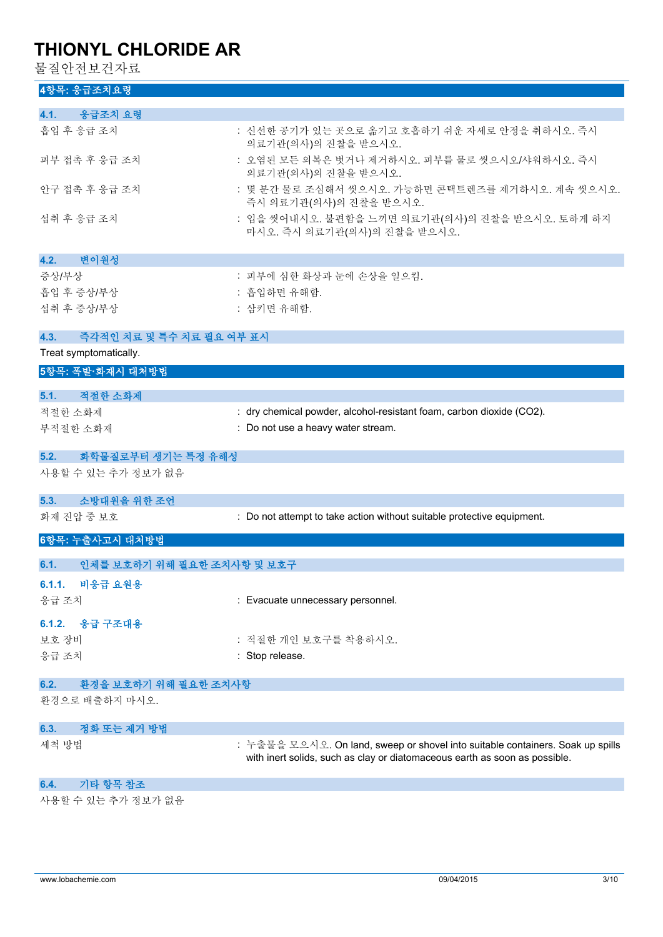물질안전보건자료

| 4항목: 응급조치요령                        |                                                                                |
|------------------------------------|--------------------------------------------------------------------------------|
| 응급조치 요령<br>4.1.                    |                                                                                |
| 흡입 후 응급 조치                         | : 신선한 공기가 있는 곳으로 옮기고 호흡하기 쉬운 자세로 안정을 취하시오. 즉시<br>의료기관(의사)의 진찰을 받으시오.           |
| 피부 접촉 후 응급 조치                      | : 오염된 모든 의복은 벗거나 제거하시오. 피부를 물로 씻으시오/샤워하시오. 즉시<br>의료기관(의사)의 진찰을 받으시오.           |
| 안구 접촉 후 응급 조치                      | : 몇 분간 물로 조심해서 씻으시오. 가능하면 콘택트렌즈를 제거하시오. 계속 씻으시오.<br>즉시 의료기관(의사)의 진찰을 받으시오.     |
| 섭취 후 응급 조치                         | : 입을 씻어내시오. 불편함을 느끼면 의료기관(의사)의 진찰을 받으시오. 토하게 하지<br>마시오. 즉시 의료기관(의사)의 진찰을 받으시오. |
| 변이원성<br>4.2.                       |                                                                                |
| 증상/부상                              | : 피부에 심한 화상과 눈에 손상을 일으킴.                                                       |
| 흡입 후 증상/부상                         | : 흡입하면 유해함.                                                                    |
| 섭취 후 증상/부상                         | : 삼키면 유해함.                                                                     |
| 즉각적인 치료 및 특수 치료 필요 여부 표시<br>4.3.   |                                                                                |
| Treat symptomatically.             |                                                                                |
| 5항목: 폭발·화재시 대처방법                   |                                                                                |
| 5.1.<br>적절한 소화제                    |                                                                                |
| 적절한 소화제                            | : dry chemical powder, alcohol-resistant foam, carbon dioxide (CO2).           |
| 부적절한 소화재                           | : Do not use a heavy water stream.                                             |
| 5.2.<br>화학물질로부터 생기는 특정 유해성         |                                                                                |
| 사용할 수 있는 추가 정보가 없음                 |                                                                                |
| 소방대원을 위한 조언<br>5.3.                |                                                                                |
| 화재 진압 중 보호                         | : Do not attempt to take action without suitable protective equipment.         |
| 6항목: 누출사고시 대처방법                    |                                                                                |
| 인체를 보호하기 위해 필요한 조치사항 및 보호구<br>6.1. |                                                                                |
| 6.1.1. 비응급 요원용                     |                                                                                |
| 응급 조치                              | : Evacuate unnecessary personnel.                                              |
| 6.1.2. 응급 구조대용                     |                                                                                |
| 보호 장비                              | : 적절한 개인 보호구를 착용하시오.                                                           |
| 응급 조치                              | : Stop release.                                                                |

| 6.2. |  |  | 환경을 보호하기 위해 필요한 조치사항 |
|------|--|--|----------------------|
|      |  |  |                      |

환경으로 배출하지 마시오.

| 6.3.<br>· 정화 또는 제거 방법 · |                                                                                |
|-------------------------|--------------------------------------------------------------------------------|
| 세척 방법                   | : 누출물을 모으시오. On land, sweep or shovel into suitable containers. Soak up spills |
|                         | with inert solids, such as clay or diatomaceous earth as soon as possible.     |

#### **6.4. 기타 항목 참조**

사용할 수 있는 추가 정보가 없음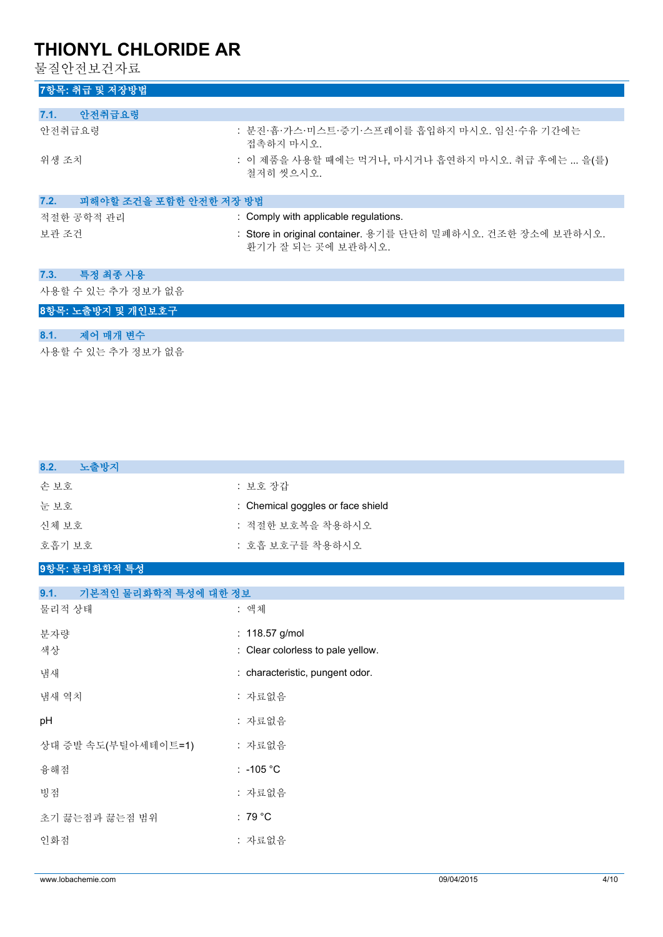물질안전보건자료

| 7항목: 취급 및 저장방법                 |                                                                                    |
|--------------------------------|------------------------------------------------------------------------------------|
|                                |                                                                                    |
| 안전취급요령<br>7.1.                 |                                                                                    |
| 안전취급요령                         | : 분진·흄·가스·미스트·증기·스프레이를 흡입하지 마시오. 임신·수유 기간에는<br>접촉하지 마시오.                           |
| 위생 조치                          | : 이 제품을 사용할 때에는 먹거나, 마시거나 흡연하지 마시오. 취급 후에는  을(를)<br>철저히 씻으시오.                      |
| 피해야할 조건을 포함한 안전한 저장 방법<br>7.2. |                                                                                    |
| 적절한 공학적 관리                     | : Comply with applicable regulations.                                              |
| 보관 조건                          | : Store in original container. 용기를 단단히 밀폐하시오. 건조한 장소에 보관하시오.<br>환기가 잘 되는 곳에 보관하시오. |
| 특정 최종 사용<br>7.3.               |                                                                                    |
| 사용할 수 있는 추가 정보가 없음             |                                                                                    |
| 8항목: 노출방지 및 개인보호구              |                                                                                    |
| 제어 매개 변수<br>8.1.               |                                                                                    |
| 사용할 수 있는 추가 정보가 없음             |                                                                                    |

| 8.2.<br>노출방지                 |                                   |
|------------------------------|-----------------------------------|
| 손보호                          | : 보호 장갑                           |
| 눈보호                          | : Chemical goggles or face shield |
| 신체 보호                        | : 적절한 보호복을 착용하시오                  |
| 호흡기 보호                       | : 호흡 보호구를 착용하시오                   |
| 9항목: 물리화학적 특성                |                                   |
| 9.1.<br>기본적인 물리화학적 특성에 대한 정보 |                                   |
| 물리적 상태                       | : 액체                              |
| 분자량                          | : 118.57 g/mol                    |
| 색상                           | : Clear colorless to pale yellow. |
| 냄새                           | : characteristic, pungent odor.   |
| 냄새 역치                        | : 자료없음                            |
| pH                           | : 자료없음                            |
| 상대 증발 속도(부틸아세테이트=1)          | : 자료없음                            |
| 융해점                          | $: -105 °C$                       |
| 빙점                           | : 자료없음                            |
| 초기 끓는점과 끓는점 범위               | : 79 $^{\circ}$ C                 |

인화점 : 자료없음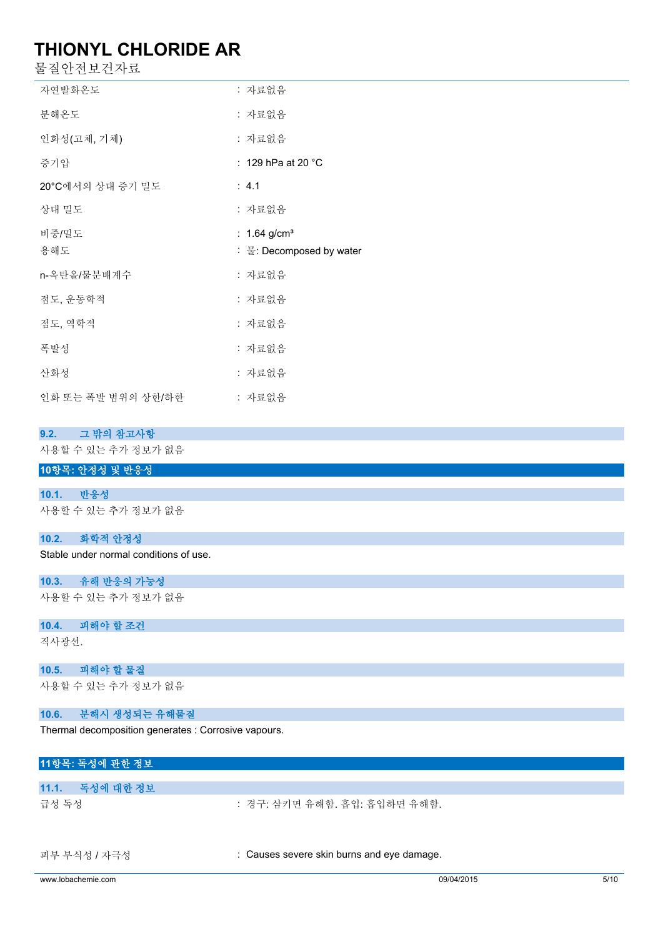물질안전보건자료

| 할 실 안 선 모 건 사 됴.                       |                                                        |
|----------------------------------------|--------------------------------------------------------|
| 자연발화온도                                 | : 자료없음                                                 |
| 분해온도                                   | : 자료없음                                                 |
| 인화성(고체, 기체)                            | : 자료없음                                                 |
| 증기압                                    | : 129 hPa at 20 °C                                     |
| 20°C에서의 상대 증기 밀도                       | : 4.1                                                  |
| 상대 밀도                                  | : 자료없음                                                 |
| 비중/밀도<br>용해도                           | : $1.64$ g/cm <sup>3</sup><br>: 물: Decomposed by water |
| n-옥탄올/물분배계수                            | : 자료없음                                                 |
| 점도, 운동학적                               | : 자료없음                                                 |
| 점도, 역학적                                | : 자료없음                                                 |
| 폭발성                                    | : 자료없음                                                 |
| 산화성                                    | : 자료없음                                                 |
| 인화 또는 폭발 범위의 상한/하한                     | : 자료없음                                                 |
| 9.2.<br>그 밖의 참고사항                      |                                                        |
| 사용할 수 있는 추가 정보가 없음                     |                                                        |
| 10항목: 안정성 및 반응성                        |                                                        |
| 10.1.<br>반응성                           |                                                        |
| 사용할 수 있는 추가 정보가 없음                     |                                                        |
| 10.2.<br>화학적 안정성                       |                                                        |
| Stable under normal conditions of use. |                                                        |

**10.3. 유해 반응의 가능성**

사용할 수 있는 추가 정보가 없음

#### **10.4. 피해야 할 조건**

직사광선.

#### **10.5. 피해야 할 물질**

사용할 수 있는 추가 정보가 없음

#### **10.6. 분해시 생성되는 유해물질**

Thermal decomposition generates : Corrosive vapours.

### **11항목: 독성에 관한 정보 11.1. 독성에 대한 정보**

급성 독성 : 경구: 삼키면 유해함. 흡입: 흡입하면 유해함.

피부 부식성 / 자극성 : Causes severe skin burns and eye damage.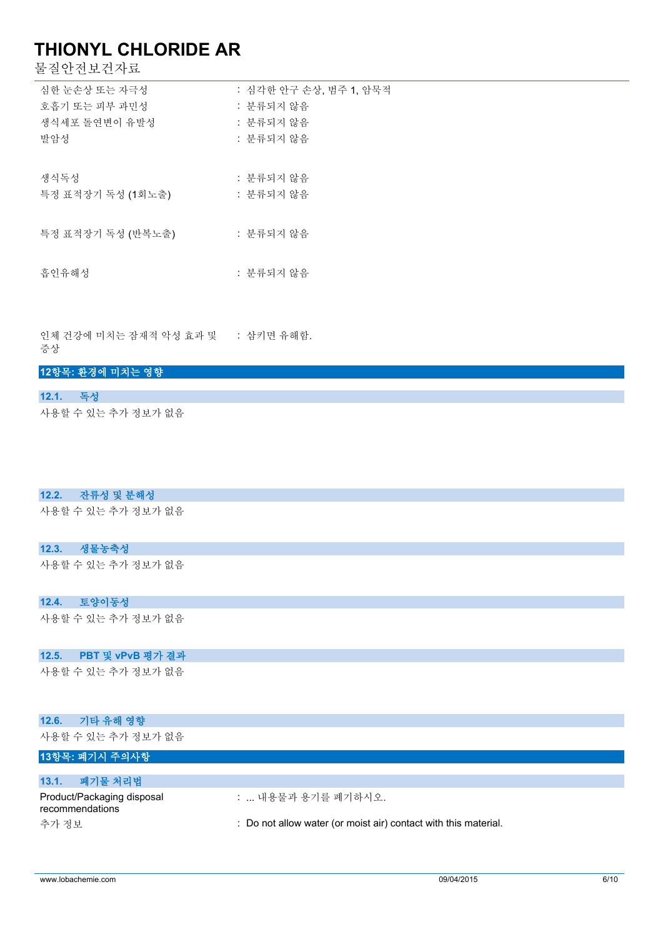물질안전보건자료

| 심한 눈손상 또는 자극성     | : 심각한 안구 손상, 범주 1, 암묵적 |
|-------------------|------------------------|
| 호흡기 또는 피부 과민성     | : 분류되지 않음              |
| 생식세포 돌여변이 유발성     | : 분류되지 않음              |
| 발암성               | : 분류되지 않음              |
|                   |                        |
| 생식독성              | : 분류되지 않음              |
| 특정 표적장기 독성 (1회노출) | : 분류되지 않음              |
|                   |                        |
| 특정 표적장기 독성 (반복노출) | : 분류되지 않음              |
|                   |                        |
| 흡인유해성             | : 분류되지 않음              |
|                   |                        |
|                   |                        |

인체 건강에 미치는 잠재적 악성 효과 및 증상 : 삼키면 유해함.

#### **12항목: 환경에 미치는 영향**

| 12.1. | 一舌々                |  |
|-------|--------------------|--|
|       | 사용할 수 있는 추가 정보가 없음 |  |

#### **12.2. 잔류성 및 분해성**

사용할 수 있는 추가 정보가 없음

#### **12.3. 생물농축성**

사용할 수 있는 추가 정보가 없음

#### **12.4. 토양이동성**

사용할 수 있는 추가 정보가 없음

#### **12.5. PBT 및 vPvB 평가 결과**

사용할 수 있는 추가 정보가 없음

#### **12.6. 기타 유해 영향**

사용할 수 있는 추가 정보가 없음

### **13항목: 폐기시 주의사항**

| 폐기물 처리법<br>13.1.                              |                                                                 |
|-----------------------------------------------|-----------------------------------------------------------------|
| Product/Packaging disposal<br>recommendations | :  내용물과 용기를 폐기하시오.                                              |
| 추가 정보                                         | : Do not allow water (or moist air) contact with this material. |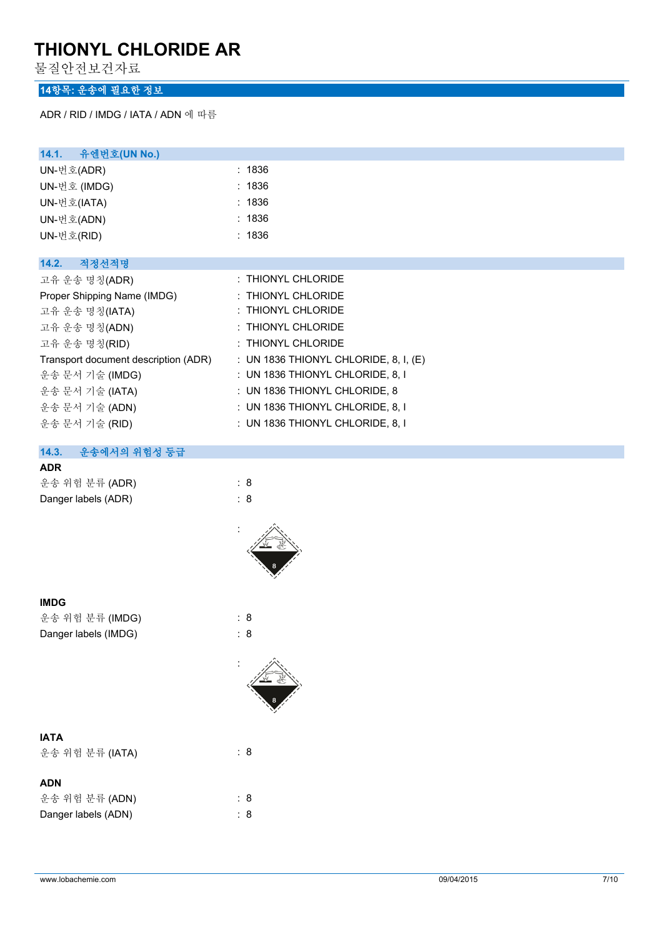물질안전보건자료

### **14항목: 운송에 필요한 정보**

ADR / RID / IMDG / IATA / ADN 에 따름

| 14.1. 유엔번호(UN No.)                   |                                         |
|--------------------------------------|-----------------------------------------|
| UN-번호(ADR)                           | : 1836                                  |
| UN-번호 (IMDG)                         | : 1836                                  |
| UN-번호(IATA)                          | : 1836                                  |
| UN-번호(ADN)                           | : 1836                                  |
| UN-번호(RID)                           | : 1836                                  |
|                                      |                                         |
| 적정선적명<br>14.2.                       |                                         |
| 고유 운송 명칭(ADR)                        | : THIONYL CHLORIDE                      |
| Proper Shipping Name (IMDG)          | : THIONYL CHLORIDE                      |
| 고유 운송 명칭(IATA)                       | : THIONYL CHLORIDE                      |
| 고유 운송 명칭(ADN)                        | : THIONYL CHLORIDE                      |
| 고유 운송 명칭(RID)                        | : THIONYL CHLORIDE                      |
| Transport document description (ADR) | : UN 1836 THIONYL CHLORIDE, 8, I, $(E)$ |
| 운송 문서 기술 (IMDG)                      | : UN 1836 THIONYL CHLORIDE, 8, I        |
| 운송 문서 기술 (IATA)                      | : UN 1836 THIONYL CHLORIDE, 8           |
| 운송 문서 기술 (ADN)                       | $:$ UN 1836 THIONYL CHLORIDE, 8, I      |
| 운송 문서 기술 (RID)                       | $:$ UN 1836 THIONYL CHLORIDE, 8, I      |
|                                      |                                         |

### **14.3. 운송에서의 위험성 등급**

| ٠ |
|---|
|---|

| 운송 위험 분류 (ADR)      | : 8 |
|---------------------|-----|
| Danger labels (ADR) | : 8 |



:

| 운송 위험 분류 (IMDG)      | : 8 |
|----------------------|-----|
| Danger labels (IMDG) |     |



| 운송 위험 분류 (IATA) | : 8 |
|-----------------|-----|
| <b>ADN</b>      |     |

| лы.                 |     |  |
|---------------------|-----|--|
| 운송 위험 분류 (ADN)      | : 8 |  |
| Danger labels (ADN) | : 8 |  |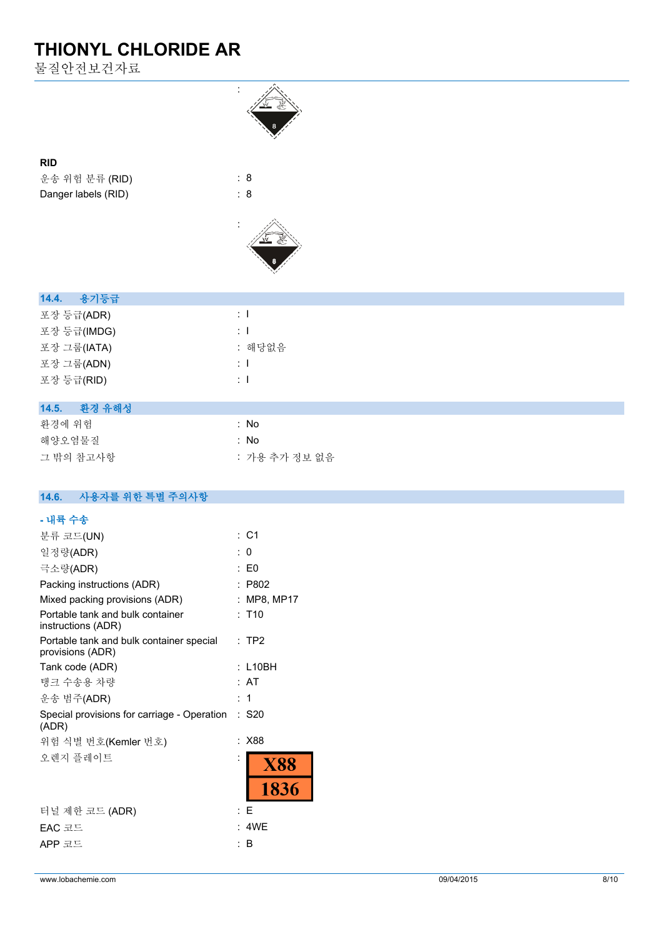물질안전보건자료



#### **RID**

운송 위험 분류 (RID) : 8 Danger labels (RID) : 8



| 14.4. 용기등급      |                |
|-----------------|----------------|
| 포장 등급(ADR)      | $\therefore$ 1 |
| 포장 등급(IMDG)     | $\mathbf{1}$   |
| 포장 그룹(IATA)     | : 해당없음         |
| 포장 그룹(ADN)      | $\therefore$ 1 |
| 포장 등급(RID)      | $\pm$ 1        |
|                 |                |
| 14.5.<br>환경 유해성 |                |
|                 |                |

| 화경에 위험    | : No          |
|-----------|---------------|
| 해양오염물질    | : No          |
| 그 밖의 참고사항 | : 가용 추가 정보 없음 |

#### $14.6.$ **14.6. 사용자를 위한 특별 주의사항**

| - 내륙 수송                                                      |   |                     |
|--------------------------------------------------------------|---|---------------------|
| 분류 코드(UN)                                                    |   | : C1                |
| 일정량(ADR)                                                     |   | : 0                 |
| 극소량(ADR)                                                     | ٠ | E0                  |
| Packing instructions (ADR)                                   |   | P802                |
| Mixed packing provisions (ADR)                               |   | MP8, MP17           |
| Portable tank and bulk container<br>instructions (ADR)       |   | : T10               |
| Portable tank and bulk container special<br>provisions (ADR) |   | $:$ TP2             |
| Tank code (ADR)                                              |   | : L10BH             |
| 탱크 수송용 차량                                                    |   | : AT                |
| 운송 범주(ADR)                                                   |   | : 1                 |
| Special provisions for carriage - Operation<br>(ADR)         |   | $:$ S <sub>20</sub> |
| 위험 식별 번호(Kemler 번호)                                          |   | X88                 |
| 오렌지 플레이트                                                     |   | <b>X88</b>          |
|                                                              |   | 1836                |
| 터널 제한 코드 (ADR)                                               |   | : E                 |
| EAC 코드                                                       |   | 4WE                 |
| APP 코드                                                       |   | B                   |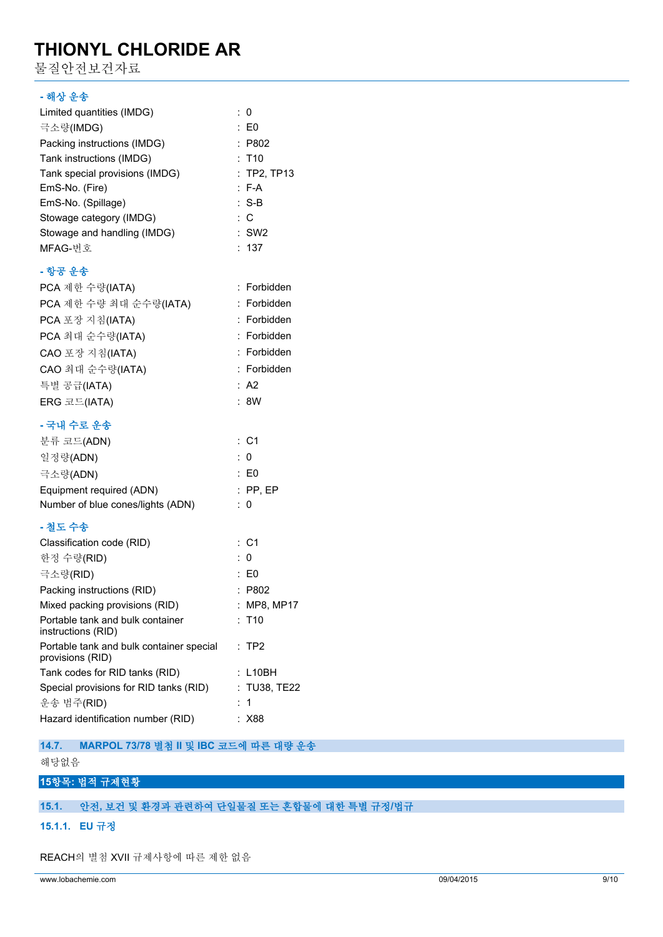물질안전보건자료

#### **- 해상 운송**

| Limited quantities (IMDG)      | : 0                 |
|--------------------------------|---------------------|
| 극소량(IMDG)                      | $\therefore$ EO     |
| Packing instructions (IMDG)    | : P802              |
| Tank instructions (IMDG)       | $:$ T <sub>10</sub> |
| Tank special provisions (IMDG) | $:$ TP2, TP13       |
| EmS-No. (Fire)                 | $: F-A$             |
| EmS-No. (Spillage)             | $: S-B$             |
| Stowage category (IMDG)        | $\therefore$ C      |
| Stowage and handling (IMDG)    | $:$ SW2             |
| MFAG-번호                        | : 137               |
|                                |                     |

#### **- 항공 운송**

| PCA 제한 수량(IATA)                          | : Forbidden |
|------------------------------------------|-------------|
| PCA 제한 수량 최대 순수량(IATA)                   | : Forbidden |
| PCA 포장 지침(IATA)                          | : Forbidden |
| PCA 최대 순수량(IATA)                         | : Forbidden |
| CAO 포장 지침(IATA)                          | : Forbidden |
| CAO 최대 순수량(IATA)                         | : Forbidden |
| 특별 공급(IATA)                              | : A2        |
| $ERG \n \mathbb{Z} \n \mathbb{Z}$ (IATA) | : 8W        |
|                                          |             |

#### **- 국내 수로 운송**

| 분류 코드(ADN)                        |     | : C1            |
|-----------------------------------|-----|-----------------|
| 일정량(ADN)                          | : 0 |                 |
| 극소량(ADN)                          |     | $\therefore$ E0 |
| Equipment required (ADN)          |     | $:$ PP. EP      |
| Number of blue cones/lights (ADN) |     | : 0             |

### **- 철도 수송**

| Classification code (RID)                                    | : C1                   |
|--------------------------------------------------------------|------------------------|
| 한정 수량(RID)                                                   | : ∩                    |
| 극소량(RID)                                                     | : E0                   |
| Packing instructions (RID)                                   | : P802                 |
| Mixed packing provisions (RID)                               | : MP8, MP17            |
| Portable tank and bulk container<br>instructions (RID)       | $:$ T10                |
| Portable tank and bulk container special<br>provisions (RID) | $:$ TP2                |
| Tank codes for RID tanks (RID)                               | $:$ <code>L10BH</code> |
| Special provisions for RID tanks (RID)                       | : TU38. TE22           |
| 운송 범주(RID)                                                   | : 1                    |
| Hazard identification number (RID)                           | X88                    |

**14.7. MARPOL 73/78 별첨 II 및 IBC 코드에 따른 대량 운송**

### 해당없음

#### **15항목: 법적 규제현황**

#### **15.1. 안전, 보건 및 환경과 관련하여 단일물질 또는 혼합물에 대한 특별 규정/법규**

**15.1.1. EU 규정**

REACH의 별첨 XVII 규제사항에 따른 제한 없음